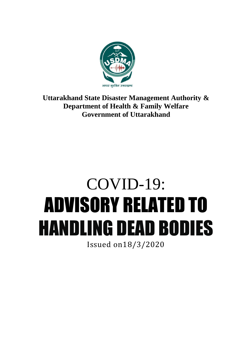

# **Uttarakhand State Disaster Management Authority & Department of Health & Family Welfare Government of Uttarakhand**

# COVID-19: ADVISORY RELATED TO HANDLING DEAD BODIES Issued on18/3/2020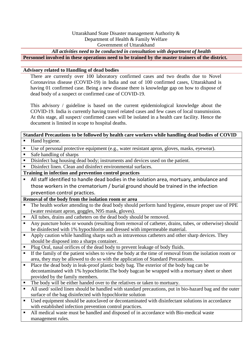#### Uttarakhand State Disaster management Authority & Department of Health & Family Welfare Government of Uttarakhand

#### *All activities need to be conducted in consultation with department of health*

**Personnel involved in these operations need to be trained by the master trainers of the district.**

#### **Advisory related to Handling of dead bodies**

There are currently over 100 laboratory confirmed cases and two deaths due to Novel Coronavirus disease (COVID-19) in India and out of 100 confirmed cases, Uttarakhand is having 01 confirmed case. Being a new disease there is knowledge gap on how to dispose of dead body of a suspect or confirmed case of COVID-19.

This advisory / guideline is based on the current epidemiological knowledge about the COVID-19. India is currently having travel related cases and few cases of local transmission. At this stage, all suspect/ confirmed cases will be isolated in a health care facility. Hence the document is limited in scope to hospital deaths.

# **Standard Precautions to be followed by health care workers while handling dead bodies of COVID**

- Hand hygiene.
- Use of personal protective equipment (e.g., water resistant apron, gloves, masks, eyewear).
- Safe handling of sharps
- Disinfect bag housing dead body; instruments and devices used on the patient.
- Disinfect linen. Clean and disinfect environmental surfaces.

# **Training in infection and prevention control practices**

 All staff identified to handle dead bodies in the isolation area, mortuary, ambulance and those workers in the crematorium / burial ground should be trained in the infection prevention control practices.

# **Removal of the body from the isolation room or area**

- The health worker attending to the dead body should perform hand hygiene, ensure proper use of PPE (water resistant apron, goggles, N95 mask, gloves).
- All tubes, drains and catheters on the dead body should be removed.
- Any puncture holes or wounds (resulting from removal of catheter, drains, tubes, or otherwise) should be disinfected with 1% hypochlorite and dressed with impermeable material.
- Apply caution while handling sharps such as intravenous catheters and other sharp devices. They should be disposed into a sharps container.
- Plug Oral, nasal orifices of the dead body to prevent leakage of body fluids.
- If the family of the patient wishes to view the body at the time of removal from the isolation room or area, they may be allowed to do so with the application of Standard Precautions.
- Place the dead body in leak-proof plastic body bag. The exterior of the body bag can be decontaminated with 1% hypochlorite.The body bagcan be wrapped with a mortuary sheet or sheet provided by the family members.
- The body will be either handed over to the relatives or taken to mortuary.
- All used/ soiled linen should be handled with standard precautions, put in bio-hazard bag and the outer surface of the bag disinfected with hypochlorite solution
- Used equipment should be autoclaved or decontaminated with disinfectant solutions in accordance with established infection prevention control practices.
- All medical waste must be handled and disposed of in accordance with Bio-medical waste management rules.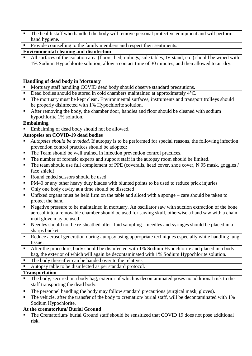- The health staff who handled the body will remove personal protective equipment and will perform hand hygiene.
- Provide counselling to the family members and respect their sentiments.

# **Environmental cleaning and disinfection**

 All surfaces of the isolation area (floors, bed, railings, side tables, IV stand, etc.) should be wiped with 1% Sodium Hypochlorite solution; allow a contact time of 30 minutes, and then allowed to air dry.

#### **Handling of dead body in Mortuary**

- Mortuary staff handling COVID dead body should observe standard precautions.
- Dead bodies should be stored in cold chambers maintained at approximately 4 °C.
- The mortuary must be kept clean. Environmental surfaces, instruments and transport trolleys should be properly disinfected with 1% Hypochlorite solution.
- After removing the body, the chamber door, handles and floor should be cleaned with sodium hypochlorite 1% solution.

#### **Embalming**

■ Embalming of dead body should not be allowed.

# **Autopsies on COVID-19 dead bodies**

- *Autopsies should be avoided.* If autopsy is to be performed for special reasons, the following infection prevention control practices should be adopted:
- The Team should be well trained in infection prevention control practices.
- The number of forensic experts and support staff in the autopsy room should be limited.
- The team should use full complement of PPE (coveralls, head cover, shoe cover, N 95 mask, goggles / face shield).
- Round ended scissors should be used
- PM40 or any other heavy duty blades with blunted points to be used to reduce prick injuries
- Only one body cavity at a time should be dissected
- Unfixed organs must be held firm on the table and sliced with a sponge care should be taken to protect the hand
- Negative pressure to be maintained in mortuary. An oscillator saw with suction extraction of the bone aerosol into a removable chamber should be used for sawing skull, otherwise a hand saw with a chainmail glove may be used
- Needles should not be re-sheathed after fluid sampling needles and syringes should be placed in a sharps bucket.
- Reduce aerosol generation during autopsy using appropriate techniques especially while handling lung tissue.
- After the procedure, body should be disinfected with 1% Sodium Hypochlorite and placed in a body bag, the exterior of which will again be decontaminated with 1% Sodium Hypochlorite solution.
- The body thereafter can be handed over to the relatives
- Autopsy table to be disinfected as per standard protocol.

#### **Transportation**

- The body, secured in a body bag, exterior of which is decontaminated poses no additional risk to the staff transporting the dead body.
- The personnel handling the body may follow standard precautions (surgical mask, gloves).
- The vehicle, after the transfer of the body to cremation/ burial staff, will be decontaminated with 1% Sodium Hypochlorite.

# **At the crematorium/ Burial Ground**

 The Crematorium/ burial Ground staff should be sensitized that COVID 19 does not pose additional risk.